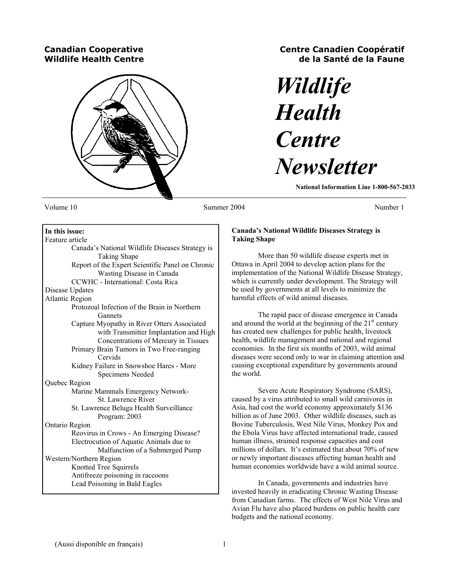# **Canadian Cooperative Wildlife Health Centre**



# **Centre Canadien Coopératif de la Santé de la Faune**

# *Wildlife Health Centre Newsletter*

**National Information Line 1-800-567-2033** 

Volume 10 Number 1 Summer 2004 Number 1 Number 1

# **In this issue:**  Feature article

 Canada's National Wildlife Diseases Strategy is Taking Shape Report of the Expert Scientific Panel on Chronic Wasting Disease in Canada CCWHC - International: Costa Rica Disease Updates Atlantic Region Protozoal Infection of the Brain in Northern Gannets Capture Myopathy in River Otters Associated with Transmitter Implantation and High Concentrations of Mercury in Tissues Primary Brain Tumors in Two Free-ranging **Cervids**  Kidney Failure in Snowshoe Hares - More Specimens Needed Quebec Region Marine Mammals Emergency Network- St. Lawrence River St. Lawrence Beluga Health Surveillance Program: 2003 Ontario Region Reovirus in Crows - An Emerging Disease? Electrocution of Aquatic Animals due to Malfunction of a Submerged Pump Western/Northern Region Knotted Tree Squirrels Antifreeze poisoning in raccoons Lead Poisoning in Bald Eagles

# **Canada's National Wildlife Diseases Strategy is Taking Shape**

 More than 50 wildlife disease experts met in Ottawa in April 2004 to develop action plans for the implementation of the National Wildlife Disease Strategy, which is currently under development. The Strategy will be used by governments at all levels to minimize the harmful effects of wild animal diseases.

 The rapid pace of disease emergence in Canada and around the world at the beginning of the  $21<sup>st</sup>$  century has created new challenges for public health, livestock health, wildlife management and national and regional economies. In the first six months of 2003, wild animal diseases were second only to war in claiming attention and causing exceptional expenditure by governments around the world.

 Severe Acute Respiratory Syndrome (SARS), caused by a virus attributed to small wild carnivores in Asia, had cost the world economy approximately \$136 billion as of June 2003. Other wildlife diseases, such as Bovine Tuberculosis, West Nile Virus, Monkey Pox and the Ebola Virus have affected international trade, caused human illness, strained response capacities and cost millions of dollars. It's estimated that about 70% of new or newly important diseases affecting human health and human economies worldwide have a wild animal source.

 In Canada, governments and industries have invested heavily in eradicating Chronic Wasting Disease from Canadian farms. The effects of West Nile Virus and Avian Flu have also placed burdens on public health care budgets and the national economy.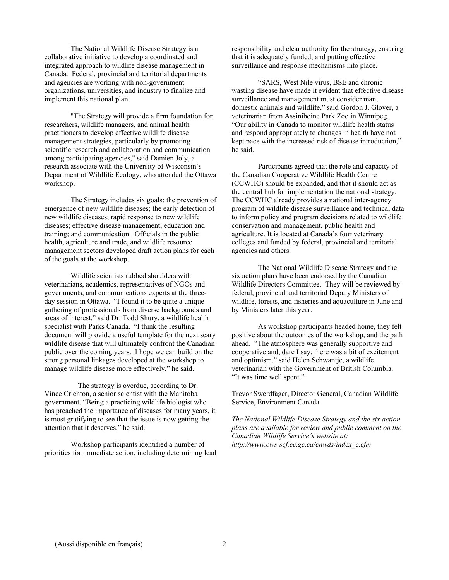The National Wildlife Disease Strategy is a collaborative initiative to develop a coordinated and integrated approach to wildlife disease management in Canada. Federal, provincial and territorial departments and agencies are working with non-government organizations, universities, and industry to finalize and implement this national plan.

 "The Strategy will provide a firm foundation for researchers, wildlife managers, and animal health practitioners to develop effective wildlife disease management strategies, particularly by promoting scientific research and collaboration and communication among participating agencies," said Damien Joly, a research associate with the University of Wisconsin's Department of Wildlife Ecology, who attended the Ottawa workshop.

 The Strategy includes six goals: the prevention of emergence of new wildlife diseases; the early detection of new wildlife diseases; rapid response to new wildlife diseases; effective disease management; education and training; and communication. Officials in the public health, agriculture and trade, and wildlife resource management sectors developed draft action plans for each of the goals at the workshop.

 Wildlife scientists rubbed shoulders with veterinarians, academics, representatives of NGOs and governments, and communications experts at the threeday session in Ottawa. "I found it to be quite a unique gathering of professionals from diverse backgrounds and areas of interest," said Dr. Todd Shury, a wildlife health specialist with Parks Canada. "I think the resulting document will provide a useful template for the next scary wildlife disease that will ultimately confront the Canadian public over the coming years. I hope we can build on the strong personal linkages developed at the workshop to manage wildlife disease more effectively," he said.

 The strategy is overdue, according to Dr. Vince Crichton, a senior scientist with the Manitoba government. "Being a practicing wildlife biologist who has preached the importance of diseases for many years, it is most gratifying to see that the issue is now getting the attention that it deserves," he said.

 Workshop participants identified a number of priorities for immediate action, including determining lead responsibility and clear authority for the strategy, ensuring that it is adequately funded, and putting effective surveillance and response mechanisms into place.

 "SARS, West Nile virus, BSE and chronic wasting disease have made it evident that effective disease surveillance and management must consider man, domestic animals and wildlife," said Gordon J. Glover, a veterinarian from Assiniboine Park Zoo in Winnipeg. "Our ability in Canada to monitor wildlife health status and respond appropriately to changes in health have not kept pace with the increased risk of disease introduction," he said.

 Participants agreed that the role and capacity of the Canadian Cooperative Wildlife Health Centre (CCWHC) should be expanded, and that it should act as the central hub for implementation the national strategy. The CCWHC already provides a national inter-agency program of wildlife disease surveillance and technical data to inform policy and program decisions related to wildlife conservation and management, public health and agriculture. It is located at Canada's four veterinary colleges and funded by federal, provincial and territorial agencies and others.

 The National Wildlife Disease Strategy and the six action plans have been endorsed by the Canadian Wildlife Directors Committee. They will be reviewed by federal, provincial and territorial Deputy Ministers of wildlife, forests, and fisheries and aquaculture in June and by Ministers later this year.

 As workshop participants headed home, they felt positive about the outcomes of the workshop, and the path ahead. "The atmosphere was generally supportive and cooperative and, dare I say, there was a bit of excitement and optimism," said Helen Schwantje, a wildlife veterinarian with the Government of British Columbia. "It was time well spent."

Trevor Swerdfager, Director General, Canadian Wildlife Service, Environment Canada

*The National Wildlife Disease Strategy and the six action plans are available for review and public comment on the Canadian Wildlife Service's website at: http://www.cws-scf.ec.gc.ca/cnwds/index\_e.cfm*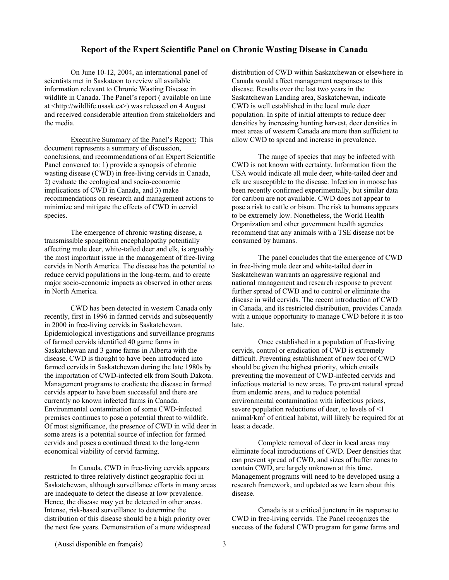## **Report of the Expert Scientific Panel on Chronic Wasting Disease in Canada**

 On June 10-12, 2004, an international panel of scientists met in Saskatoon to review all available information relevant to Chronic Wasting Disease in wildlife in Canada. The Panel's report ( available on line at <http://wildlife.usask.ca>) was released on 4 August and received considerable attention from stakeholders and the media.

 Executive Summary of the Panel's Report:This document represents a summary of discussion, conclusions, and recommendations of an Expert Scientific Panel convened to: 1) provide a synopsis of chronic wasting disease (CWD) in free-living cervids in Canada, 2) evaluate the ecological and socio-economic implications of CWD in Canada, and 3) make recommendations on research and management actions to minimize and mitigate the effects of CWD in cervid species.

 The emergence of chronic wasting disease, a transmissible spongiform encephalopathy potentially affecting mule deer, white-tailed deer and elk, is arguably the most important issue in the management of free-living cervids in North America. The disease has the potential to reduce cervid populations in the long-term, and to create major socio-economic impacts as observed in other areas in North America.

 CWD has been detected in western Canada only recently, first in 1996 in farmed cervids and subsequently in 2000 in free-living cervids in Saskatchewan. Epidemiological investigations and surveillance programs of farmed cervids identified 40 game farms in Saskatchewan and 3 game farms in Alberta with the disease. CWD is thought to have been introduced into farmed cervids in Saskatchewan during the late 1980s by the importation of CWD-infected elk from South Dakota. Management programs to eradicate the disease in farmed cervids appear to have been successful and there are currently no known infected farms in Canada. Environmental contamination of some CWD-infected premises continues to pose a potential threat to wildlife. Of most significance, the presence of CWD in wild deer in some areas is a potential source of infection for farmed cervids and poses a continued threat to the long-term economical viability of cervid farming.

 In Canada, CWD in free-living cervids appears restricted to three relatively distinct geographic foci in Saskatchewan, although surveillance efforts in many areas are inadequate to detect the disease at low prevalence. Hence, the disease may yet be detected in other areas. Intense, risk-based surveillance to determine the distribution of this disease should be a high priority over the next few years. Demonstration of a more widespread

distribution of CWD within Saskatchewan or elsewhere in Canada would affect management responses to this disease. Results over the last two years in the Saskatchewan Landing area, Saskatchewan, indicate CWD is well established in the local mule deer population. In spite of initial attempts to reduce deer densities by increasing hunting harvest, deer densities in most areas of western Canada are more than sufficient to allow CWD to spread and increase in prevalence.

 The range of species that may be infected with CWD is not known with certainty. Information from the USA would indicate all mule deer, white-tailed deer and elk are susceptible to the disease. Infection in moose has been recently confirmed experimentally, but similar data for caribou are not available. CWD does not appear to pose a risk to cattle or bison. The risk to humans appears to be extremely low. Nonetheless, the World Health Organization and other government health agencies recommend that any animals with a TSE disease not be consumed by humans.

 The panel concludes that the emergence of CWD in free-living mule deer and white-tailed deer in Saskatchewan warrants an aggressive regional and national management and research response to prevent further spread of CWD and to control or eliminate the disease in wild cervids. The recent introduction of CWD in Canada, and its restricted distribution, provides Canada with a unique opportunity to manage CWD before it is too late.

 Once established in a population of free-living cervids, control or eradication of CWD is extremely difficult. Preventing establishment of new foci of CWD should be given the highest priority, which entails preventing the movement of CWD-infected cervids and infectious material to new areas. To prevent natural spread from endemic areas, and to reduce potential environmental contamination with infectious prions, severe population reductions of deer, to levels of <1 animal/ $km<sup>2</sup>$  of critical habitat, will likely be required for at least a decade.

 Complete removal of deer in local areas may eliminate focal introductions of CWD. Deer densities that can prevent spread of CWD, and sizes of buffer zones to contain CWD, are largely unknown at this time. Management programs will need to be developed using a research framework, and updated as we learn about this disease.

 Canada is at a critical juncture in its response to CWD in free-living cervids. The Panel recognizes the success of the federal CWD program for game farms and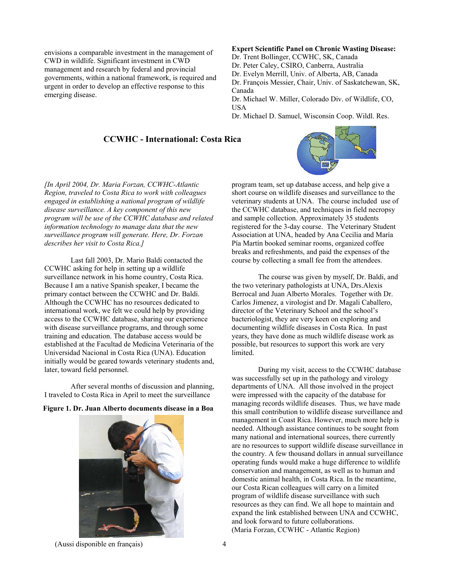envisions a comparable investment in the management of CWD in wildlife. Significant investment in CWD management and research by federal and provincial governments, within a national framework, is required and urgent in order to develop an effective response to this emerging disease.

# **Expert Scientific Panel on Chronic Wasting Disease:**

Dr. Trent Bollinger, CCWHC, SK, Canada

Dr. Peter Caley, CSIRO, Canberra, Australia

Dr. Evelyn Merrill, Univ. of Alberta, AB, Canada

Dr. François Messier, Chair, Univ. of Saskatchewan, SK, Canada

Dr. Michael W. Miller, Colorado Div. of Wildlife, CO, **I**ISA

Dr. Michael D. Samuel, Wisconsin Coop. Wildl. Res.

# **CCWHC - International: Costa Rica**

*[In April 2004, Dr. Maria Forzan, CCWHC-Atlantic Region, traveled to Costa Rica to work with colleagues engaged in establishing a national program of wildlife disease surveillance. A key component of this new program will be use of the CCWHC database and related information technology to manage data that the new surveillance program will generate. Here, Dr. Forzan describes her visit to Costa Rica.]* 

 Last fall 2003, Dr. Mario Baldi contacted the CCWHC asking for help in setting up a wildlife surveillance network in his home country, Costa Rica. Because I am a native Spanish speaker, I became the primary contact between the CCWHC and Dr. Baldi. Although the CCWHC has no resources dedicated to international work, we felt we could help by providing access to the CCWHC database, sharing our experience with disease surveillance programs, and through some training and education. The database access would be established at the Facultad de Medicina Veterinaria of the Universidad Nacional in Costa Rica (UNA). Education initially would be geared towards veterinary students and, later, toward field personnel.

 After several months of discussion and planning, I traveled to Costa Rica in April to meet the surveillance

## **Figure 1. Dr. Juan Alberto documents disease in a Boa**



program team, set up database access, and help give a short course on wildlife diseases and surveillance to the veterinary students at UNA. The course included use of the CCWHC database, and techniques in field necropsy and sample collection. Approximately 35 students registered for the 3-day course. The Veterinary Student Association at UNA, headed by Ana Cecilia and María Pía Martín booked seminar rooms, organized coffee breaks and refreshments, and paid the expenses of the course by collecting a small fee from the attendees.

 The course was given by myself, Dr. Baldi, and the two veterinary pathologists at UNA, Drs.Alexis Berrocal and Juan Alberto Morales. Together with Dr. Carlos Jimenez, a virologist and Dr. Magali Caballero, director of the Veterinary School and the school's bacteriologist, they are very keen on exploring and documenting wildlife diseases in Costa Rica. In past years, they have done as much wildlife disease work as possible, but resources to support this work are very limited.

 During my visit, access to the CCWHC database was successfully set up in the pathology and virology departments of UNA. All those involved in the project were impressed with the capacity of the database for managing records wildlife diseases. Thus, we have made this small contribution to wildlife disease surveillance and management in Coast Rica. However, much more help is needed. Although assistance continues to be sought from many national and international sources, there currently are no resources to support wildlife disease surveillance in the country. A few thousand dollars in annual surveillance operating funds would make a huge difference to wildlife conservation and management, as well as to human and domestic animal health, in Costa Rica. In the meantime, our Costa Rican colleagues will carry on a limited program of wildlife disease surveillance with such resources as they can find. We all hope to maintain and expand the link established between UNA and CCWHC, and look forward to future collaborations. (Maria Forzan, CCWHC - Atlantic Region)

(Aussi disponible en français) 4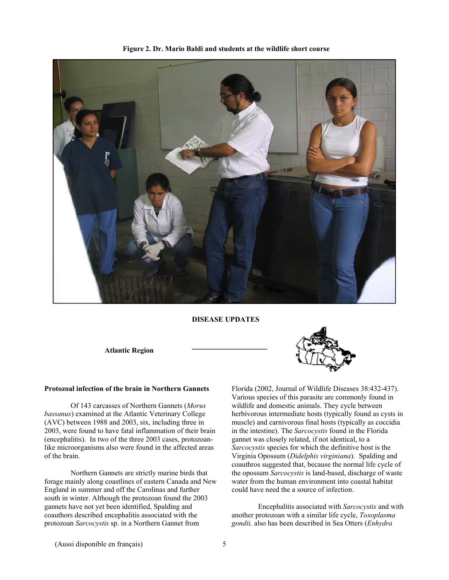

**Figure 2. Dr. Mario Baldi and students at the wildlife short course** 

 **DISEASE UPDATES** 

**Atlantic Region** 

#### **Protozoal infection of the brain in Northern Gannets**

 Of 143 carcasses of Northern Gannets (*Morus bassanus*) examined at the Atlantic Veterinary College (AVC) between 1988 and 2003, six, including three in 2003, were found to have fatal inflammation of their brain (encephalitis). In two of the three 2003 cases, protozoanlike microorganisms also were found in the affected areas of the brain.

 Northern Gannets are strictly marine birds that forage mainly along coastlines of eastern Canada and New England in summer and off the Carolinas and further south in winter. Although the protozoan found the 2003 gannets have not yet been identified, Spalding and coauthors described encephalitis associated with the protozoan *Sarcocystis* sp. in a Northern Gannet from



Florida (2002, Journal of Wildlife Diseases 38:432-437). Various species of this parasite are commonly found in wildlife and domestic animals. They cycle between herbivorous intermediate hosts (typically found as cysts in muscle) and carnivorous final hosts (typically as coccidia in the intestine). The *Sarcocystis* found in the Florida gannet was closely related, if not identical, to a *Sarcocystis* species for which the definitive host is the Virginia Opossum (*Didelphis virginiana*). Spalding and coauthros suggested that, because the normal life cycle of the opossum *Sarcocystis* is land-based, discharge of waste water from the human environment into coastal habitat could have need the a source of infection.

 Encephalitis associated with *Sarcocystis* and with another protozoan with a similar life cycle, *Toxoplasma gondii,* also has been described in Sea Otters (*Enhydra*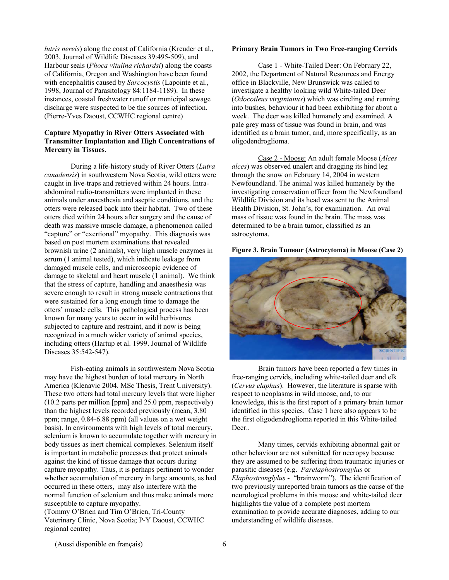*lutris nereis*) along the coast of California (Kreuder et al., 2003, Journal of Wildlife Diseases 39:495-509), and Harbour seals (*Phoca vitulina richardsi*) along the coasts of California, Oregon and Washington have been found with encephalitis caused by *Sarcocystis* (Lapointe et al., 1998, Journal of Parasitology 84:1184-1189). In these instances, coastal freshwater runoff or municipal sewage discharge were suspected to be the sources of infection. (Pierre-Yves Daoust, CCWHC regional centre)

#### **Capture Myopathy in River Otters Associated with Transmitter Implantation and High Concentrations of Mercury in Tissues.**

 During a life-history study of River Otters (*Lutra canadensis*) in southwestern Nova Scotia, wild otters were caught in live-traps and retrieved within 24 hours. Intraabdominal radio-transmitters were implanted in these animals under anaesthesia and aseptic conditions, and the otters were released back into their habitat. Two of these otters died within 24 hours after surgery and the cause of death was massive muscle damage, a phenomenon called "capture" or "exertional" myopathy. This diagnosis was based on post mortem examinations that revealed brownish urine (2 animals), very high muscle enzymes in serum (1 animal tested), which indicate leakage from damaged muscle cells, and microscopic evidence of damage to skeletal and heart muscle (1 animal). We think that the stress of capture, handling and anaesthesia was severe enough to result in strong muscle contractions that were sustained for a long enough time to damage the otters' muscle cells. This pathological process has been known for many years to occur in wild herbivores subjected to capture and restraint, and it now is being recognized in a much wider variety of animal species, including otters (Hartup et al. 1999. Journal of Wildlife Diseases 35:542-547).

 Fish-eating animals in southwestern Nova Scotia may have the highest burden of total mercury in North America (Klenavic 2004. MSc Thesis, Trent University). These two otters had total mercury levels that were higher (10.2 parts per million [ppm] and 25.0 ppm, respectively) than the highest levels recorded previously (mean, 3.80 ppm; range, 0.84-6.88 ppm) (all values on a wet weight basis). In environments with high levels of total mercury, selenium is known to accumulate together with mercury in body tissues as inert chemical complexes. Selenium itself is important in metabolic processes that protect animals against the kind of tissue damage that occurs during capture myopathy. Thus, it is perhaps pertinent to wonder whether accumulation of mercury in large amounts, as had occurred in these otters, may also interfere with the normal function of selenium and thus make animals more susceptible to capture myopathy.

(Tommy O'Brien and Tim O'Brien, Tri-County Veterinary Clinic, Nova Scotia; P-Y Daoust, CCWHC regional centre)

#### **Primary Brain Tumors in Two Free-ranging Cervids**

 Case 1 - White-Tailed Deer: On February 22, 2002, the Department of Natural Resources and Energy office in Blackville, New Brunswick was called to investigate a healthy looking wild White-tailed Deer (*Odocoileus virginianus*) which was circling and running into bushes, behaviour it had been exhibiting for about a week. The deer was killed humanely and examined. A pale grey mass of tissue was found in brain, and was identified as a brain tumor, and, more specifically, as an oligodendroglioma.

 Case 2 - Moose: An adult female Moose (*Alces alces*) was observed unalert and dragging its hind leg through the snow on February 14, 2004 in western Newfoundland. The animal was killed humanely by the investigating conservation officer from the Newfoundland Wildlife Division and its head was sent to the Animal Health Division, St. John's, for examination. An oval mass of tissue was found in the brain. The mass was determined to be a brain tumor, classified as an astrocytoma.

#### **Figure 3. Brain Tumour (Astrocytoma) in Moose (Case 2)**



 Brain tumors have been reported a few times in free-ranging cervids, including white-tailed deer and elk (*Cervus elaphus*). However, the literature is sparse with respect to neoplasms in wild moose, and, to our knowledge, this is the first report of a primary brain tumor identified in this species. Case 1 here also appears to be the first oligodendroglioma reported in this White-tailed Deer..

 Many times, cervids exhibiting abnormal gait or other behaviour are not submitted for necropsy because they are assumed to be suffering from traumatic injuries or parasitic diseases (e.g. *Parelaphostrongylus* or *Elaphostronglylus* - "brainworm"). The identification of two previously unreported brain tumors as the cause of the neurological problems in this moose and white-tailed deer highlights the value of a complete post mortem examination to provide accurate diagnoses, adding to our understanding of wildlife diseases.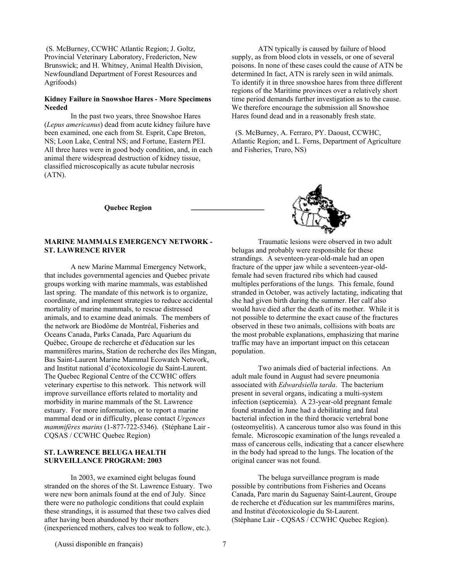(S. McBurney, CCWHC Atlantic Region; J. Goltz, Provincial Veterinary Laboratory, Fredericton, New Brunswick; and H. Whitney, Animal Health Division, Newfoundland Department of Forest Resources and Agrifoods)

#### **Kidney Failure in Snowshoe Hares - More Specimens Needed**

 In the past two years, three Snowshoe Hares (*Lepus americanus*) dead from acute kidney failure have been examined, one each from St. Esprit, Cape Breton, NS; Loon Lake, Central NS; and Fortune, Eastern PEI. All three hares were in good body condition, and, in each animal there widespread destruction of kidney tissue, classified microscopically as acute tubular necrosis (ATN).

 ATN typically is caused by failure of blood supply, as from blood clots in vessels, or one of several poisons. In none of these cases could the cause of ATN be determined In fact, ATN is rarely seen in wild animals. To identify it in three snowshoe hares from three different regions of the Maritime provinces over a relatively short time period demands further investigation as to the cause. We therefore encourage the submission all Snowshoe Hares found dead and in a reasonably fresh state.

 (S. McBurney, A. Ferraro, PY. Daoust, CCWHC, Atlantic Region; and L. Ferns, Department of Agriculture and Fisheries, Truro, NS)

**Quebec Region** 

## **MARINE MAMMALS EMERGENCY NETWORK - ST. LAWRENCE RIVER**

 A new Marine Mammal Emergency Network, that includes governmental agencies and Quebec private groups working with marine mammals, was established last spring. The mandate of this network is to organize, coordinate, and implement strategies to reduce accidental mortality of marine mammals, to rescue distressed animals, and to examine dead animals. The members of the network are Biodôme de Montréal, Fisheries and Oceans Canada, Parks Canada, Parc Aquarium du Québec, Groupe de recherche et d'éducation sur les mammifères marins, Station de recherche des îles Mingan, Bas Saint-Laurent Marine Mammal Ecowatch Network, and Institut national d'écotoxicologie du Saint-Laurent. The Quebec Regional Centre of the CCWHC offers veterinary expertise to this network. This network will improve surveillance efforts related to mortality and morbidity in marine mammals of the St. Lawrence estuary. For more information, or to report a marine mammal dead or in difficulty, please contact *Urgences mammifères marins* (1-877-722-5346). (Stéphane Lair - CQSAS / CCWHC Quebec Region)

## **ST. LAWRENCE BELUGA HEALTH SURVEILLANCE PROGRAM: 2003**

 In 2003, we examined eight belugas found stranded on the shores of the St. Lawrence Estuary. Two were new born animals found at the end of July. Since there were no pathologic conditions that could explain these strandings, it is assumed that these two calves died after having been abandoned by their mothers (inexperienced mothers, calves too weak to follow, etc.).

 Traumatic lesions were observed in two adult belugas and probably were responsible for these strandings. A seventeen-year-old-male had an open fracture of the upper jaw while a seventeen-year-oldfemale had seven fractured ribs which had caused multiples perforations of the lungs. This female, found stranded in October, was actively lactating, indicating that she had given birth during the summer. Her calf also would have died after the death of its mother. While it is not possible to determine the exact cause of the fractures observed in these two animals, collisions with boats are the most probable explanations, emphasizing that marine traffic may have an important impact on this cetacean population.

 Two animals died of bacterial infections. An adult male found in August had severe pneumonia associated with *Edwardsiella tarda*. The bacterium present in several organs, indicating a multi-system infection (septicemia). A 23-year-old pregnant female found stranded in June had a debilitating and fatal bacterial infection in the third thoracic vertebral bone (osteomyelitis). A cancerous tumor also was found in this female. Microscopic examination of the lungs revealed a mass of cancerous cells, indicating that a cancer elsewhere in the body had spread to the lungs. The location of the original cancer was not found.

 The beluga surveillance program is made possible by contributions from Fisheries and Oceans Canada, Parc marin du Saguenay Saint-Laurent, Groupe de recherche et d'éducation sur les mammifères marins, and Institut d'écotoxicologie du St-Laurent. (Stéphane Lair - CQSAS / CCWHC Quebec Region).

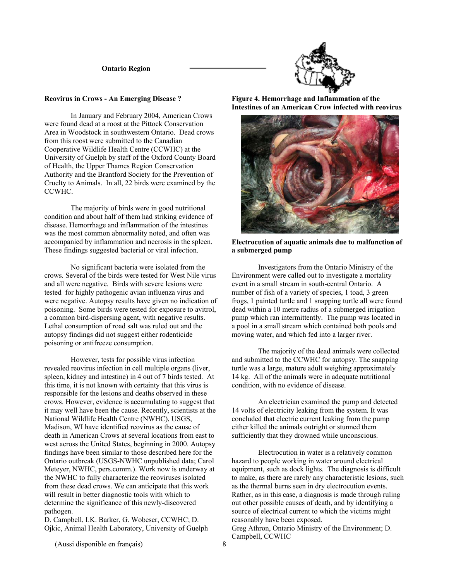#### **Ontario Region**



#### **Reovirus in Crows - An Emerging Disease ?**

 In January and February 2004, American Crows were found dead at a roost at the Pittock Conservation Area in Woodstock in southwestern Ontario. Dead crows from this roost were submitted to the Canadian Cooperative Wildlife Health Centre (CCWHC) at the University of Guelph by staff of the Oxford County Board of Health, the Upper Thames Region Conservation Authority and the Brantford Society for the Prevention of Cruelty to Animals. In all, 22 birds were examined by the CCWHC.

 The majority of birds were in good nutritional condition and about half of them had striking evidence of disease. Hemorrhage and inflammation of the intestines was the most common abnormality noted, and often was accompanied by inflammation and necrosis in the spleen. These findings suggested bacterial or viral infection.

 No significant bacteria were isolated from the crows. Several of the birds were tested for West Nile virus and all were negative. Birds with severe lesions were tested for highly pathogenic avian influenza virus and were negative. Autopsy results have given no indication of poisoning. Some birds were tested for exposure to avitrol, a common bird-dispersing agent, with negative results. Lethal consumption of road salt was ruled out and the autopsy findings did not suggest either rodenticide poisoning or antifreeze consumption.

 However, tests for possible virus infection revealed reovirus infection in cell multiple organs (liver, spleen, kidney and intestine) in 4 out of 7 birds tested. At this time, it is not known with certainty that this virus is responsible for the lesions and deaths observed in these crows. However, evidence is accumulating to suggest that it may well have been the cause. Recently, scientists at the National Wildlife Health Centre (NWHC), USGS, Madison, WI have identified reovirus as the cause of death in American Crows at several locations from east to west across the United States, beginning in 2000. Autopsy findings have been similar to those described here for the Ontario outbreak (USGS-NWHC unpublished data; Carol Meteyer, NWHC, pers.comm.). Work now is underway at the NWHC to fully characterize the reoviruses isolated from these dead crows. We can anticipate that this work will result in better diagnostic tools with which to determine the significance of this newly-discovered pathogen.

D. Campbell, I.K. Barker, G. Wobeser, CCWHC; D. Ojkic, Animal Health Laboratory, University of Guelph

**Figure 4. Hemorrhage and Inflammation of the Intestines of an American Crow infected with reovirus** 



**Electrocution of aquatic animals due to malfunction of a submerged pump** 

 Investigators from the Ontario Ministry of the Environment were called out to investigate a mortality event in a small stream in south-central Ontario. A number of fish of a variety of species, 1 toad, 3 green frogs, 1 painted turtle and 1 snapping turtle all were found dead within a 10 metre radius of a submerged irrigation pump which ran intermittently. The pump was located in a pool in a small stream which contained both pools and moving water, and which fed into a larger river.

 The majority of the dead animals were collected and submitted to the CCWHC for autopsy. The snapping turtle was a large, mature adult weighing approximately 14 kg. All of the animals were in adequate nutritional condition, with no evidence of disease.

 An electrician examined the pump and detected 14 volts of electricity leaking from the system. It was concluded that electric current leaking from the pump either killed the animals outright or stunned them sufficiently that they drowned while unconscious.

 Electrocution in water is a relatively common hazard to people working in water around electrical equipment, such as dock lights. The diagnosis is difficult to make, as there are rarely any characteristic lesions, such as the thermal burns seen in dry electrocution events. Rather, as in this case, a diagnosis is made through ruling out other possible causes of death, and by identifying a source of electrical current to which the victims might reasonably have been exposed. Greg Athron, Ontario Ministry of the Environment; D. Campbell, CCWHC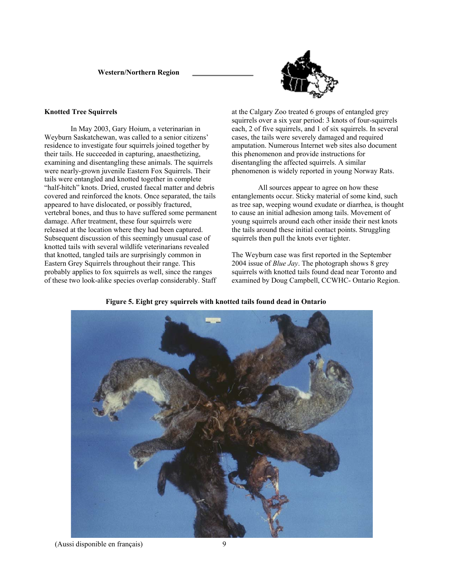**Western/Northern Region** 



#### **Knotted Tree Squirrels**

 In May 2003, Gary Hoium, a veterinarian in Weyburn Saskatchewan, was called to a senior citizens' residence to investigate four squirrels joined together by their tails. He succeeded in capturing, anaesthetizing, examining and disentangling these animals. The squirrels were nearly-grown juvenile Eastern Fox Squirrels. Their tails were entangled and knotted together in complete "half-hitch" knots. Dried, crusted faecal matter and debris covered and reinforced the knots. Once separated, the tails appeared to have dislocated, or possibly fractured, vertebral bones, and thus to have suffered some permanent damage. After treatment, these four squirrels were released at the location where they had been captured. Subsequent discussion of this seemingly unusual case of knotted tails with several wildlife veterinarians revealed that knotted, tangled tails are surprisingly common in Eastern Grey Squirrels throughout their range. This probably applies to fox squirrels as well, since the ranges of these two look-alike species overlap considerably. Staff at the Calgary Zoo treated 6 groups of entangled grey squirrels over a six year period: 3 knots of four-squirrels each, 2 of five squirrels, and 1 of six squirrels. In several cases, the tails were severely damaged and required amputation. Numerous Internet web sites also document this phenomenon and provide instructions for disentangling the affected squirrels. A similar phenomenon is widely reported in young Norway Rats.

 All sources appear to agree on how these entanglements occur. Sticky material of some kind, such as tree sap, weeping wound exudate or diarrhea, is thought to cause an initial adhesion among tails. Movement of young squirrels around each other inside their nest knots the tails around these initial contact points. Struggling squirrels then pull the knots ever tighter.

The Weyburn case was first reported in the September 2004 issue of *Blue Jay*. The photograph shows 8 grey squirrels with knotted tails found dead near Toronto and examined by Doug Campbell, CCWHC- Ontario Region.



**Figure 5. Eight grey squirrels with knotted tails found dead in Ontario**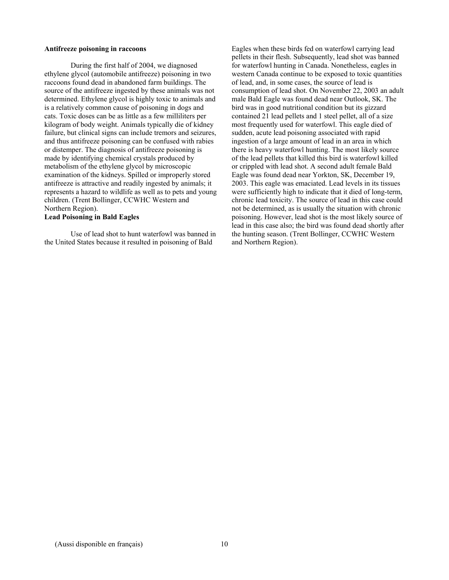#### **Antifreeze poisoning in raccoons**

During the first half of 2004, we diagnosed ethylene glycol (automobile antifreeze) poisoning in two raccoons found dead in abandoned farm buildings. The source of the antifreeze ingested by these animals was not determined. Ethylene glycol is highly toxic to animals and is a relatively common cause of poisoning in dogs and cats. Toxic doses can be as little as a few milliliters per kilogram of body weight. Animals typically die of kidney failure, but clinical signs can include tremors and seizures, and thus antifreeze poisoning can be confused with rabies or distemper. The diagnosis of antifreeze poisoning is made by identifying chemical crystals produced by metabolism of the ethylene glycol by microscopic examination of the kidneys. Spilled or improperly stored antifreeze is attractive and readily ingested by animals; it represents a hazard to wildlife as well as to pets and young children. (Trent Bollinger, CCWHC Western and Northern Region).

#### **Lead Poisoning in Bald Eagles**

Use of lead shot to hunt waterfowl was banned in the United States because it resulted in poisoning of Bald

Eagles when these birds fed on waterfowl carrying lead pellets in their flesh. Subsequently, lead shot was banned for waterfowl hunting in Canada. Nonetheless, eagles in western Canada continue to be exposed to toxic quantities of lead, and, in some cases, the source of lead is consumption of lead shot. On November 22, 2003 an adult male Bald Eagle was found dead near Outlook, SK. The bird was in good nutritional condition but its gizzard contained 21 lead pellets and 1 steel pellet, all of a size most frequently used for waterfowl. This eagle died of sudden, acute lead poisoning associated with rapid ingestion of a large amount of lead in an area in which there is heavy waterfowl hunting. The most likely source of the lead pellets that killed this bird is waterfowl killed or crippled with lead shot. A second adult female Bald Eagle was found dead near Yorkton, SK, December 19, 2003. This eagle was emaciated. Lead levels in its tissues were sufficiently high to indicate that it died of long-term, chronic lead toxicity. The source of lead in this case could not be determined, as is usually the situation with chronic poisoning. However, lead shot is the most likely source of lead in this case also; the bird was found dead shortly after the hunting season. (Trent Bollinger, CCWHC Western and Northern Region).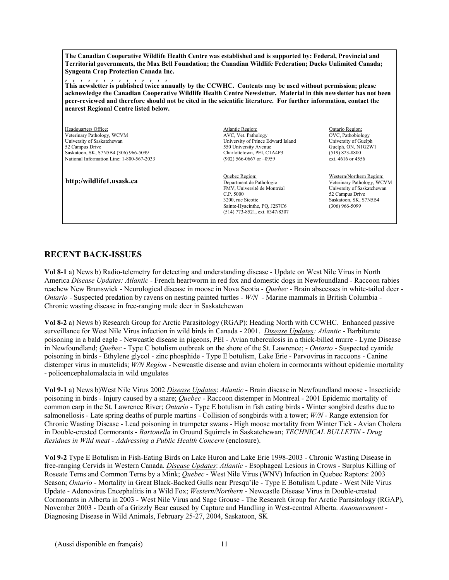**The Canadian Cooperative Wildlife Health Centre was established and is supported by: Federal, Provincial and Territorial governments, the Max Bell Foundation; the Canadian Wildlife Federation; Ducks Unlimited Canada; Syngenta Crop Protection Canada Inc.**

,,,,,,,,,,,,,, **This newsletter is published twice annually by the CCWHC. Contents may be used without permission; please acknowledge the Canadian Cooperative Wildlife Health Centre Newsletter. Material in this newsletter has not been peer-reviewed and therefore should not be cited in the scientific literature. For further information, contact the nearest Regional Centre listed below.** 

Headquarters Office: Mathology Mathology Atlantic Region: Atlantic Region: Ontario Region: Ontario Region: Ontario Region: ONC, Pathology CONC, Pathology CONC, Pathology CONC, Pathology CONC, Pathology CONC, Pathology CONC Veterinary Pathology, WCVM  $\,$ AVC, Vet. Pathology  $\,$ OVC, Pathology OVC, Pathobiology University of Saskatchewan University of Saskatchewan University of Prince Edward Island University of Guelph 52 Campus Drive Guelph, ON, N1G2W1<br>
550 University Avenue Guelph, ON, N1G2W1<br>
550 University Avenue Guelph, ON, N1G2W1<br>
Charlottetown, PEI, C1A4P3 (519) 823-8800 Saskatoon, SK, S7N5B4 (306) 966-5099 Charlottetown, PEI, C1A4P3 (519) 823-8800<br>
National Information Line: 1-800-567-2033 (902) 566-0667 or -0959 ext. 4616 or 4556 National Information Line: 1-800-567-2033

Department de Pathologie Veterinary Pathology, WCVM **http:/wildlife1.usask.ca** 

University of Prince Edward Island

 Quebec Region: Western/Northern Region: FMV, Université de Montréal University of Saskatchewan C.P. 5000 52 Campus Drive<br>3200 rue Sicotte Saskatoon SK S7 Sainte-Hyacinthe, PQ, J2S7C6 (514) 773-8521, ext. 8347/8307

Saskatoon, SK, S7N5B4<br>(306) 966-5099

# **RECENT BACK-ISSUES**

**Vol 8-1** a) News b) Radio-telemetry for detecting and understanding disease - Update on West Nile Virus in North America *Disease Updates: Atlantic* - French heartworm in red fox and domestic dogs in Newfoundland - Raccoon rabies reachew New Brunswick - Neurological disease in moose in Nova Scotia - *Quebec* - Brain abscesses in white-tailed deer - *Ontario* - Suspected predation by ravens on nesting painted turtles - *W/N* - Marine mammals in British Columbia - Chronic wasting disease in free-ranging mule deer in Saskatchewan

**Vol 8-2** a) News b) Research Group for Arctic Parasitology (RGAP): Heading North with CCWHC. Enhanced passive surveillance for West Nile Virus infection in wild birds in Canada - 2001. *Disease Updates: Atlantic* - Barbiturate poisoning in a bald eagle - Newcastle disease in pigeons, PEI - Avian tuberculosis in a thick-billed murre - Lyme Disease in Newfoundland; *Quebec* - Type C botulism outbreak on the shore of the St. Lawrence; - *Ontario* - Suspected cyanide poisoning in birds - Ethylene glycol - zinc phosphide - Type E botulism, Lake Erie - Parvovirus in raccoons - Canine distemper virus in mustelids; *W/N Region* - Newcastle disease and avian cholera in cormorants without epidemic mortality - polioencephalomalacia in wild ungulates

**Vol 9-1** a) News b)West Nile Virus 2002 *Disease Updates*: *Atlantic* **-** Brain disease in Newfoundland moose - Insecticide poisoning in birds - Injury caused by a snare; *Quebec* - Raccoon distemper in Montreal - 2001 Epidemic mortality of common carp in the St. Lawrence River; *Ontario* - Type E botulism in fish eating birds - Winter songbird deaths due to salmonellosis - Late spring deaths of purple martins - Collision of songbirds with a tower; *W/N* - Range extension for Chronic Wasting Disease - Lead poisoning in trumpeter swans - High moose mortality from Winter Tick - Avian Cholera in Double-crested Cormorants - *Bartonella* in Ground Squirrels in Saskatchewan; *TECHNICAL BULLETIN - Drug Residues in Wild meat - Addressing a Public Health Concern* (enclosure).

**Vol 9-2** Type E Botulism in Fish-Eating Birds on Lake Huron and Lake Erie 1998-2003 - Chronic Wasting Disease in free-ranging Cervids in Western Canada. *Disease Updates*: *Atlantic* - Esophageal Lesions in Crows - Surplus Killing of Roseate Terns and Common Terns by a Mink; *Quebec* - West Nile Virus (WNV) Infection in Quebec Raptors: 2003 Season; *Ontario* - Mortality in Great Black-Backed Gulls near Presqu'ile - Type E Botulism Update - West Nile Virus Update - Adenovirus Encephalitis in a Wild Fox; *Western/Northern* - Newcastle Disease Virus in Double-crested Cormorants in Alberta in 2003 - West Nile Virus and Sage Grouse - The Research Group for Arctic Parasitology (RGAP), November 2003 - Death of a Grizzly Bear caused by Capture and Handling in West-central Alberta. *Announcement -*  Diagnosing Disease in Wild Animals, February 25-27, 2004, Saskatoon, SK